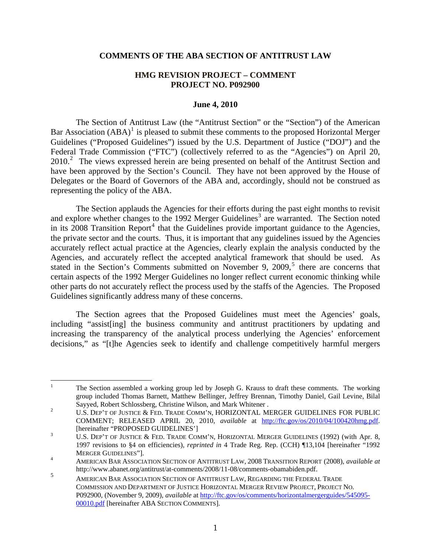### **COMMENTS OF THE ABA SECTION OF ANTITRUST LAW**

# **HMG REVISION PROJECT – COMMENT PROJECT NO. P092900**

#### **June 4, 2010**

The Section of Antitrust Law (the "Antitrust Section" or the "Section") of the American Bar Association  $(ABA)^1$  $(ABA)^1$  is pleased to submit these comments to the proposed Horizontal Merger Guidelines ("Proposed Guidelines") issued by the U.S. Department of Justice ("DOJ") and the Federal Trade Commission ("FTC") (collectively referred to as the "Agencies") on April 20, [2](#page-0-1)010.<sup>2</sup> The views expressed herein are being presented on behalf of the Antitrust Section and have been approved by the Section's Council. They have not been approved by the House of Delegates or the Board of Governors of the ABA and, accordingly, should not be construed as representing the policy of the ABA.

The Section applauds the Agencies for their efforts during the past eight months to revisit and explore whether changes to the 1992 Merger Guidelines<sup>[3](#page-0-2)</sup> are warranted. The Section noted in its  $2008$  Transition Report<sup>[4](#page-0-3)</sup> that the Guidelines provide important guidance to the Agencies, the private sector and the courts. Thus, it is important that any guidelines issued by the Agencies accurately reflect actual practice at the Agencies, clearly explain the analysis conducted by the Agencies, and accurately reflect the accepted analytical framework that should be used. As stated in the Section's Comments submitted on November 9, 2009,<sup>[5](#page-0-4)</sup> there are concerns that certain aspects of the 1992 Merger Guidelines no longer reflect current economic thinking while other parts do not accurately reflect the process used by the staffs of the Agencies. The Proposed Guidelines significantly address many of these concerns.

The Section agrees that the Proposed Guidelines must meet the Agencies' goals, including "assist[ing] the business community and antitrust practitioners by updating and increasing the transparency of the analytical process underlying the Agencies' enforcement decisions," as "[t]he Agencies seek to identify and challenge competitively harmful mergers

<span id="page-0-0"></span> $\frac{1}{1}$  The Section assembled a working group led by Joseph G. Krauss to draft these comments. The working group included Thomas Barnett, Matthew Bellinger, Jeffrey Brennan, Timothy Daniel, Gail Levine, Bilal Sayyed, Robert Schlossberg, Christine Wilson, and Mark Whitener .<br><sup>2</sup> LLS, DEP'T OF USTICE & EED, TRADE COMA'N, HORIZONTAL MI

<span id="page-0-1"></span>U.S. DEP'T OF JUSTICE & FED. TRADE COMM'N, HORIZONTAL MERGER GUIDELINES FOR PUBLIC COMMENT; RELEASED APRIL 20, 2010, *available* at <http://ftc.gov/os/2010/04/100420hmg.pdf>. [hereinafter "PROPOSED GUIDELINES']

<span id="page-0-2"></span>U.S. DEP'T OF JUSTICE & FED. TRADE COMM'N, HORIZONTAL MERGER GUIDELINES (1992) (with Apr. 8, 1997 revisions to §4 on efficiencies), *reprinted in* 4 Trade Reg. Rep. (CCH) ¶13,104 [hereinafter "1992 MERGER GUIDELINES"].

<span id="page-0-3"></span>AMERICAN BAR ASSOCIATION SECTION OF ANTITRUST LAW, 2008 TRANSITION REPORT (2008), *available at* http://www.abanet.org/antitrust/at-comments/2008/11-08/comments-obamabiden.pdf.

<span id="page-0-4"></span><sup>5</sup> AMERICAN BAR ASSOCIATION SECTION OF ANTITRUST LAW, REGARDING THE FEDERAL TRADE COMMISSION AND DEPARTMENT OF JUSTICE HORIZONTAL MERGER REVIEW PROJECT, PROJECT NO. P092900, (November 9, 2009), *available* at [http://ftc.gov/os/comments/horizontalmergerguides/545095-](http://ftc.gov/os/comments/horizontalmergerguides/545095-00010.pdf) [00010.pdf](http://ftc.gov/os/comments/horizontalmergerguides/545095-00010.pdf) [hereinafter ABA SECTION COMMENTS].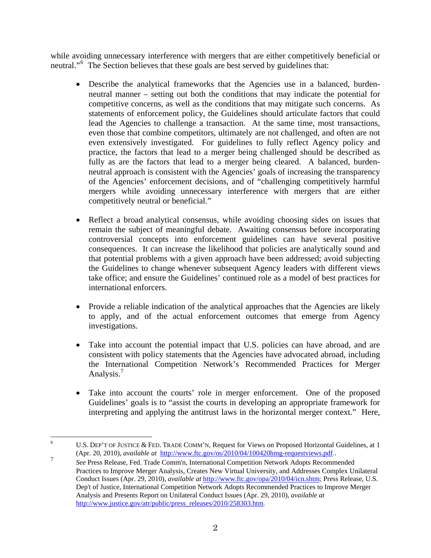while avoiding unnecessary interference with mergers that are either competitively beneficial or neutral."[6](#page-1-0) The Section believes that these goals are best served by guidelines that:

- Describe the analytical frameworks that the Agencies use in a balanced, burdenneutral manner – setting out both the conditions that may indicate the potential for competitive concerns, as well as the conditions that may mitigate such concerns. As statements of enforcement policy, the Guidelines should articulate factors that could lead the Agencies to challenge a transaction. At the same time, most transactions, even those that combine competitors, ultimately are not challenged, and often are not even extensively investigated. For guidelines to fully reflect Agency policy and practice, the factors that lead to a merger being challenged should be described as fully as are the factors that lead to a merger being cleared. A balanced, burdenneutral approach is consistent with the Agencies' goals of increasing the transparency of the Agencies' enforcement decisions, and of "challenging competitively harmful mergers while avoiding unnecessary interference with mergers that are either competitively neutral or beneficial."
- Reflect a broad analytical consensus, while avoiding choosing sides on issues that remain the subject of meaningful debate. Awaiting consensus before incorporating controversial concepts into enforcement guidelines can have several positive consequences. It can increase the likelihood that policies are analytically sound and that potential problems with a given approach have been addressed; avoid subjecting the Guidelines to change whenever subsequent Agency leaders with different views take office; and ensure the Guidelines' continued role as a model of best practices for international enforcers.
- Provide a reliable indication of the analytical approaches that the Agencies are likely to apply, and of the actual enforcement outcomes that emerge from Agency investigations.
- Take into account the potential impact that U.S. policies can have abroad, and are consistent with policy statements that the Agencies have advocated abroad, including the International Competition Network's Recommended Practices for Merger Analysis.<sup>[7](#page-1-1)</sup>
- Take into account the courts' role in merger enforcement. One of the proposed Guidelines' goals is to "assist the courts in developing an appropriate framework for interpreting and applying the antitrust laws in the horizontal merger context." Here,

<span id="page-1-0"></span> $\frac{1}{6}$  U.S. DEP'T OF JUSTICE & FED. TRADE COMM'N, Request for Views on Proposed Horizontal Guidelines, at 1 (Apr. 20, 2010), *available at* http://www.ftc.gov/os/2010/04/100420hmg-requestviews.pdf*.*. 7

<span id="page-1-1"></span>*See* Press Release, Fed. Trade Comm'n, International Competition Network Adopts Recommended Practices to Improve Merger Analysis, Creates New Virtual University, and Addresses Complex Unilateral Conduct Issues (Apr. 29, 2010), *available at* <http://www.ftc.gov/opa/2010/04/icn.shtm>; Press Release, U.S. Dep't of Justice, International Competition Network Adopts Recommended Practices to Improve Merger Analysis and Presents Report on Unilateral Conduct Issues (Apr. 29, 2010), *available at* [http://www.justice.gov/atr/public/press\\_releases/2010/258303.htm](http://www.justice.gov/atr/public/press_releases/2010/258303.htm).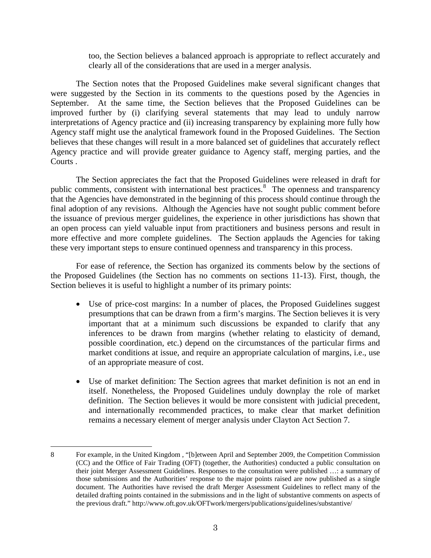too, the Section believes a balanced approach is appropriate to reflect accurately and clearly all of the considerations that are used in a merger analysis.

The Section notes that the Proposed Guidelines make several significant changes that were suggested by the Section in its comments to the questions posed by the Agencies in September. At the same time, the Section believes that the Proposed Guidelines can be improved further by (i) clarifying several statements that may lead to unduly narrow interpretations of Agency practice and (ii) increasing transparency by explaining more fully how Agency staff might use the analytical framework found in the Proposed Guidelines. The Section believes that these changes will result in a more balanced set of guidelines that accurately reflect Agency practice and will provide greater guidance to Agency staff, merging parties, and the Courts .

The Section appreciates the fact that the Proposed Guidelines were released in draft for public comments, consistent with international best practices.<sup>[8](#page-2-0)</sup> The openness and transparency that the Agencies have demonstrated in the beginning of this process should continue through the final adoption of any revisions. Although the Agencies have not sought public comment before the issuance of previous merger guidelines, the experience in other jurisdictions has shown that an open process can yield valuable input from practitioners and business persons and result in more effective and more complete guidelines. The Section applauds the Agencies for taking these very important steps to ensure continued openness and transparency in this process.

For ease of reference, the Section has organized its comments below by the sections of the Proposed Guidelines (the Section has no comments on sections 11-13). First, though, the Section believes it is useful to highlight a number of its primary points:

- Use of price-cost margins: In a number of places, the Proposed Guidelines suggest presumptions that can be drawn from a firm's margins. The Section believes it is very important that at a minimum such discussions be expanded to clarify that any inferences to be drawn from margins (whether relating to elasticity of demand, possible coordination, etc.) depend on the circumstances of the particular firms and market conditions at issue, and require an appropriate calculation of margins, i.e., use of an appropriate measure of cost.
- Use of market definition: The Section agrees that market definition is not an end in itself. Nonetheless, the Proposed Guidelines unduly downplay the role of market definition. The Section believes it would be more consistent with judicial precedent, and internationally recommended practices, to make clear that market definition remains a necessary element of merger analysis under Clayton Act Section 7.

<span id="page-2-0"></span> $\overline{a}$ 8 For example, in the United Kingdom , "[b]etween April and September 2009, the Competition Commission (CC) and the Office of Fair Trading (OFT) (together, the Authorities) conducted a public consultation on their joint Merger Assessment Guidelines. Responses to the consultation were published …: a summary of those submissions and the Authorities' response to the major points raised are now published as a single document. The Authorities have revised the draft Merger Assessment Guidelines to reflect many of the detailed drafting points contained in the submissions and in the light of substantive comments on aspects of the previous draft." http://www.oft.gov.uk/OFTwork/mergers/publications/guidelines/substantive/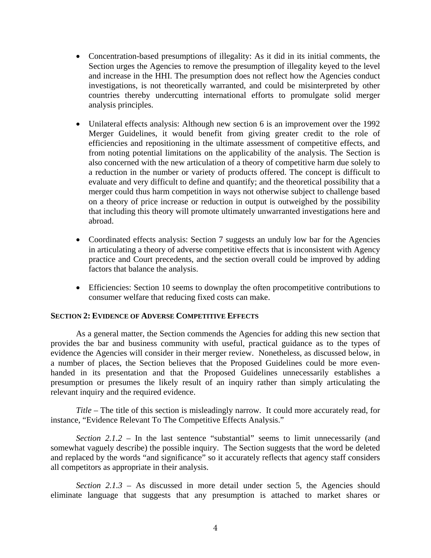- Concentration-based presumptions of illegality: As it did in its initial comments, the Section urges the Agencies to remove the presumption of illegality keyed to the level and increase in the HHI. The presumption does not reflect how the Agencies conduct investigations, is not theoretically warranted, and could be misinterpreted by other countries thereby undercutting international efforts to promulgate solid merger analysis principles.
- Unilateral effects analysis: Although new section 6 is an improvement over the 1992 Merger Guidelines, it would benefit from giving greater credit to the role of efficiencies and repositioning in the ultimate assessment of competitive effects, and from noting potential limitations on the applicability of the analysis. The Section is also concerned with the new articulation of a theory of competitive harm due solely to a reduction in the number or variety of products offered. The concept is difficult to evaluate and very difficult to define and quantify; and the theoretical possibility that a merger could thus harm competition in ways not otherwise subject to challenge based on a theory of price increase or reduction in output is outweighed by the possibility that including this theory will promote ultimately unwarranted investigations here and abroad.
- Coordinated effects analysis: Section 7 suggests an unduly low bar for the Agencies in articulating a theory of adverse competitive effects that is inconsistent with Agency practice and Court precedents, and the section overall could be improved by adding factors that balance the analysis.
- Efficiencies: Section 10 seems to downplay the often procompetitive contributions to consumer welfare that reducing fixed costs can make.

# **SECTION 2: EVIDENCE OF ADVERSE COMPETITIVE EFFECTS**

As a general matter, the Section commends the Agencies for adding this new section that provides the bar and business community with useful, practical guidance as to the types of evidence the Agencies will consider in their merger review. Nonetheless, as discussed below, in a number of places, the Section believes that the Proposed Guidelines could be more evenhanded in its presentation and that the Proposed Guidelines unnecessarily establishes a presumption or presumes the likely result of an inquiry rather than simply articulating the relevant inquiry and the required evidence.

*Title* – The title of this section is misleadingly narrow. It could more accurately read, for instance, "Evidence Relevant To The Competitive Effects Analysis."

*Section 2.1.2 – In the last sentence "substantial" seems to limit unnecessarily (and* somewhat vaguely describe) the possible inquiry. The Section suggests that the word be deleted and replaced by the words "and significance" so it accurately reflects that agency staff considers all competitors as appropriate in their analysis.

*Section*  $2.1.3$  – As discussed in more detail under section 5, the Agencies should eliminate language that suggests that any presumption is attached to market shares or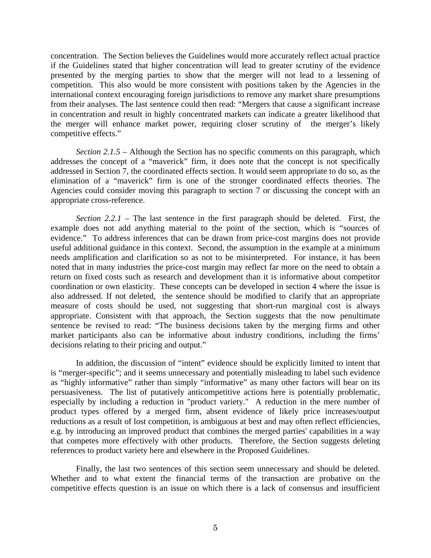concentration. The Section believes the Guidelines would more accurately reflect actual practice if the Guidelines stated that higher concentration will lead to greater scrutiny of the evidence presented by the merging parties to show that the merger will not lead to a lessening of competition. This also would be more consistent with positions taken by the Agencies in the international context encouraging foreign jurisdictions to remove any market share presumptions from their analyses. The last sentence could then read: "Mergers that cause a significant increase in concentration and result in highly concentrated markets can indicate a greater likelihood that the merger will enhance market power, requiring closer scrutiny of the merger's likely competitive effects."

*Section 2.1.5 –* Although the Section has no specific comments on this paragraph, which addresses the concept of a "maverick" firm, it does note that the concept is not specifically addressed in Section 7, the coordinated effects section. It would seem appropriate to do so, as the elimination of a "maverick" firm is one of the stronger coordinated effects theories. The Agencies could consider moving this paragraph to section 7 or discussing the concept with an appropriate cross-reference.

*Section 2.2.1* – The last sentence in the first paragraph should be deleted. First, the example does not add anything material to the point of the section, which is "sources of evidence." To address inferences that can be drawn from price-cost margins does not provide useful additional guidance in this context. Second, the assumption in the example at a minimum needs amplification and clarification so as not to be misinterpreted. For instance, it has been noted that in many industries the price-cost margin may reflect far more on the need to obtain a return on fixed costs such as research and development than it is informative about competitor coordination or own elasticity. These concepts can be developed in section 4 where the issue is also addressed. If not deleted, the sentence should be modified to clarify that an appropriate measure of costs should be used, not suggesting that short-run marginal cost is always appropriate. Consistent with that approach, the Section suggests that the now penultimate sentence be revised to read: "The business decisions taken by the merging firms and other market participants also can be informative about industry conditions, including the firms' decisions relating to their pricing and output."

In addition, the discussion of "intent" evidence should be explicitly limited to intent that is "merger-specific"; and it seems unnecessary and potentially misleading to label such evidence as "highly informative" rather than simply "informative" as many other factors will bear on its persuasiveness. The list of putatively anticompetitive actions here is potentially problematic, especially by including a reduction in "product variety." A reduction in the mere number of product types offered by a merged firm, absent evidence of likely price increases/output reductions as a result of lost competition, is ambiguous at best and may often reflect efficiencies, e.g. by introducing an improved product that combines the merged parties' capabilities in a way that competes more effectively with other products. Therefore, the Section suggests deleting references to product variety here and elsewhere in the Proposed Guidelines.

Finally, the last two sentences of this section seem unnecessary and should be deleted. Whether and to what extent the financial terms of the transaction are probative on the competitive effects question is an issue on which there is a lack of consensus and insufficient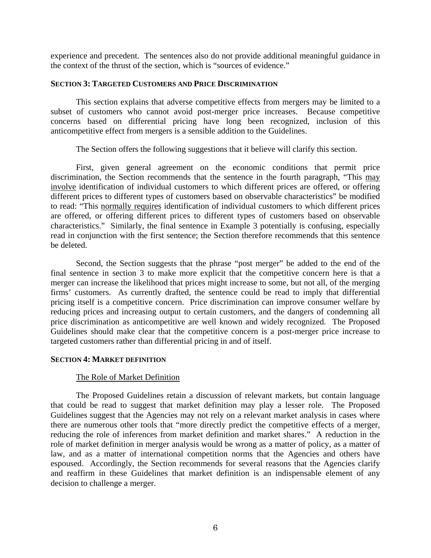experience and precedent. The sentences also do not provide additional meaningful guidance in the context of the thrust of the section, which is "sources of evidence."

#### **SECTION 3: TARGETED CUSTOMERS AND PRICE DISCRIMINATION**

This section explains that adverse competitive effects from mergers may be limited to a subset of customers who cannot avoid post-merger price increases. Because competitive concerns based on differential pricing have long been recognized, inclusion of this anticompetitive effect from mergers is a sensible addition to the Guidelines.

The Section offers the following suggestions that it believe will clarify this section.

First, given general agreement on the economic conditions that permit price discrimination, the Section recommends that the sentence in the fourth paragraph, "This may involve identification of individual customers to which different prices are offered, or offering different prices to different types of customers based on observable characteristics" be modified to read: "This normally requires identification of individual customers to which different prices are offered, or offering different prices to different types of customers based on observable characteristics." Similarly, the final sentence in Example 3 potentially is confusing, especially read in conjunction with the first sentence; the Section therefore recommends that this sentence be deleted.

Second, the Section suggests that the phrase "post merger" be added to the end of the final sentence in section 3 to make more explicit that the competitive concern here is that a merger can increase the likelihood that prices might increase to some, but not all, of the merging firms' customers. As currently drafted, the sentence could be read to imply that differential pricing itself is a competitive concern. Price discrimination can improve consumer welfare by reducing prices and increasing output to certain customers, and the dangers of condemning all price discrimination as anticompetitive are well known and widely recognized. The Proposed Guidelines should make clear that the competitive concern is a post-merger price increase to targeted customers rather than differential pricing in and of itself.

### **SECTION 4: MARKET DEFINITION**

### The Role of Market Definition

The Proposed Guidelines retain a discussion of relevant markets, but contain language that could be read to suggest that market definition may play a lesser role. The Proposed Guidelines suggest that the Agencies may not rely on a relevant market analysis in cases where there are numerous other tools that "more directly predict the competitive effects of a merger, reducing the role of inferences from market definition and market shares." A reduction in the role of market definition in merger analysis would be wrong as a matter of policy, as a matter of law, and as a matter of international competition norms that the Agencies and others have espoused. Accordingly, the Section recommends for several reasons that the Agencies clarify and reaffirm in these Guidelines that market definition is an indispensable element of any decision to challenge a merger.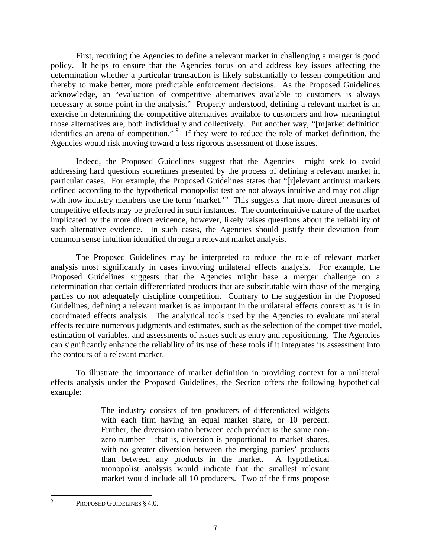First, requiring the Agencies to define a relevant market in challenging a merger is good policy. It helps to ensure that the Agencies focus on and address key issues affecting the determination whether a particular transaction is likely substantially to lessen competition and thereby to make better, more predictable enforcement decisions. As the Proposed Guidelines acknowledge, an "evaluation of competitive alternatives available to customers is always necessary at some point in the analysis." Properly understood, defining a relevant market is an exercise in determining the competitive alternatives available to customers and how meaningful those alternatives are, both individually and collectively. Put another way, "[m]arket definition identifies an arena of competition."<sup>[9](#page-6-0)</sup> If they were to reduce the role of market definition, the Agencies would risk moving toward a less rigorous assessment of those issues.

Indeed, the Proposed Guidelines suggest that the Agencies might seek to avoid addressing hard questions sometimes presented by the process of defining a relevant market in particular cases. For example, the Proposed Guidelines states that "[r]elevant antitrust markets defined according to the hypothetical monopolist test are not always intuitive and may not align with how industry members use the term 'market.'" This suggests that more direct measures of competitive effects may be preferred in such instances. The counterintuitive nature of the market implicated by the more direct evidence, however, likely raises questions about the reliability of such alternative evidence. In such cases, the Agencies should justify their deviation from common sense intuition identified through a relevant market analysis.

The Proposed Guidelines may be interpreted to reduce the role of relevant market analysis most significantly in cases involving unilateral effects analysis. For example, the Proposed Guidelines suggests that the Agencies might base a merger challenge on a determination that certain differentiated products that are substitutable with those of the merging parties do not adequately discipline competition. Contrary to the suggestion in the Proposed Guidelines, defining a relevant market is as important in the unilateral effects context as it is in coordinated effects analysis. The analytical tools used by the Agencies to evaluate unilateral effects require numerous judgments and estimates, such as the selection of the competitive model, estimation of variables, and assessments of issues such as entry and repositioning. The Agencies can significantly enhance the reliability of its use of these tools if it integrates its assessment into the contours of a relevant market.

To illustrate the importance of market definition in providing context for a unilateral effects analysis under the Proposed Guidelines, the Section offers the following hypothetical example:

> The industry consists of ten producers of differentiated widgets with each firm having an equal market share, or 10 percent. Further, the diversion ratio between each product is the same nonzero number – that is, diversion is proportional to market shares, with no greater diversion between the merging parties' products than between any products in the market. A hypothetical monopolist analysis would indicate that the smallest relevant market would include all 10 producers. Two of the firms propose

<span id="page-6-0"></span><sup>-&</sup>lt;br>9 PROPOSED GUIDELINES § 4.0.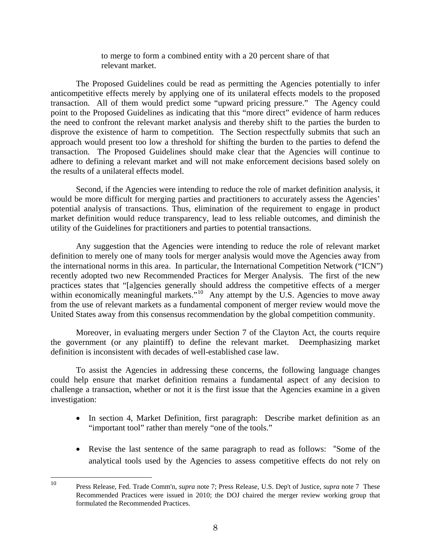to merge to form a combined entity with a 20 percent share of that relevant market.

The Proposed Guidelines could be read as permitting the Agencies potentially to infer anticompetitive effects merely by applying one of its unilateral effects models to the proposed transaction. All of them would predict some "upward pricing pressure." The Agency could point to the Proposed Guidelines as indicating that this "more direct" evidence of harm reduces the need to confront the relevant market analysis and thereby shift to the parties the burden to disprove the existence of harm to competition. The Section respectfully submits that such an approach would present too low a threshold for shifting the burden to the parties to defend the transaction. The Proposed Guidelines should make clear that the Agencies will continue to adhere to defining a relevant market and will not make enforcement decisions based solely on the results of a unilateral effects model.

Second, if the Agencies were intending to reduce the role of market definition analysis, it would be more difficult for merging parties and practitioners to accurately assess the Agencies' potential analysis of transactions. Thus, elimination of the requirement to engage in product market definition would reduce transparency, lead to less reliable outcomes, and diminish the utility of the Guidelines for practitioners and parties to potential transactions.

Any suggestion that the Agencies were intending to reduce the role of relevant market definition to merely one of many tools for merger analysis would move the Agencies away from the international norms in this area. In particular, the International Competition Network ("ICN") recently adopted two new Recommended Practices for Merger Analysis. The first of the new practices states that "[a]gencies generally should address the competitive effects of a merger within economically meaningful markets."<sup>[10](#page-7-0)</sup> Any attempt by the U.S. Agencies to move away from the use of relevant markets as a fundamental component of merger review would move the United States away from this consensus recommendation by the global competition community.

Moreover, in evaluating mergers under Section 7 of the Clayton Act, the courts require the government (or any plaintiff) to define the relevant market. Deemphasizing market definition is inconsistent with decades of well-established case law.

To assist the Agencies in addressing these concerns, the following language changes could help ensure that market definition remains a fundamental aspect of any decision to challenge a transaction, whether or not it is the first issue that the Agencies examine in a given investigation:

- In section 4, Market Definition, first paragraph: Describe market definition as an "important tool" rather than merely "one of the tools."
- Revise the last sentence of the same paragraph to read as follows: "Some of the analytical tools used by the Agencies to assess competitive effects do not rely on

<span id="page-7-0"></span><sup>10</sup> 10 Press Release, Fed. Trade Comm'n, *supra* note 7; Press Release, U.S. Dep't of Justice, *supra* note 7 These Recommended Practices were issued in 2010; the DOJ chaired the merger review working group that formulated the Recommended Practices.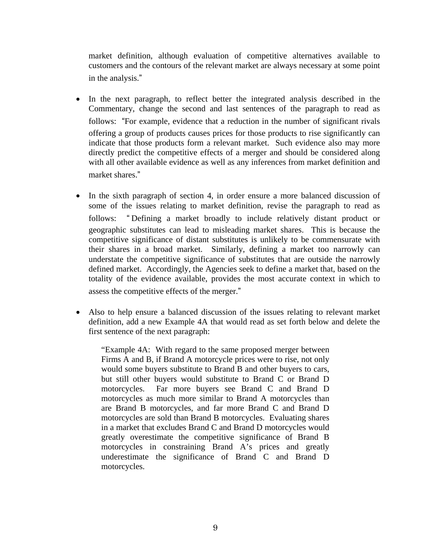market definition, although evaluation of competitive alternatives available to customers and the contours of the relevant market are always necessary at some point in the analysis."

- In the next paragraph, to reflect better the integrated analysis described in the Commentary, change the second and last sentences of the paragraph to read as follows: "For example, evidence that a reduction in the number of significant rivals offering a group of products causes prices for those products to rise significantly can indicate that those products form a relevant market. Such evidence also may more directly predict the competitive effects of a merger and should be considered along with all other available evidence as well as any inferences from market definition and market shares."
- In the sixth paragraph of section 4, in order ensure a more balanced discussion of some of the issues relating to market definition, revise the paragraph to read as follows: " Defining a market broadly to include relatively distant product or geographic substitutes can lead to misleading market shares. This is because the competitive significance of distant substitutes is unlikely to be commensurate with their shares in a broad market. Similarly, defining a market too narrowly can understate the competitive significance of substitutes that are outside the narrowly defined market. Accordingly, the Agencies seek to define a market that, based on the totality of the evidence available, provides the most accurate context in which to assess the competitive effects of the merger."
- Also to help ensure a balanced discussion of the issues relating to relevant market definition, add a new Example 4A that would read as set forth below and delete the first sentence of the next paragraph:

"Example 4A: With regard to the same proposed merger between Firms A and B, if Brand A motorcycle prices were to rise, not only would some buyers substitute to Brand B and other buyers to cars, but still other buyers would substitute to Brand C or Brand D motorcycles. Far more buyers see Brand C and Brand D motorcycles as much more similar to Brand A motorcycles than are Brand B motorcycles, and far more Brand C and Brand D motorcycles are sold than Brand B motorcycles. Evaluating shares in a market that excludes Brand C and Brand D motorcycles would greatly overestimate the competitive significance of Brand B motorcycles in constraining Brand A's prices and greatly underestimate the significance of Brand C and Brand D motorcycles.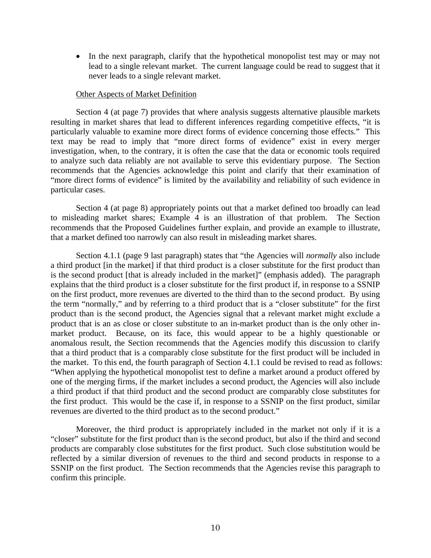• In the next paragraph, clarify that the hypothetical monopolist test may or may not lead to a single relevant market. The current language could be read to suggest that it never leads to a single relevant market.

#### Other Aspects of Market Definition

Section 4 (at page 7) provides that where analysis suggests alternative plausible markets resulting in market shares that lead to different inferences regarding competitive effects, "it is particularly valuable to examine more direct forms of evidence concerning those effects." This text may be read to imply that "more direct forms of evidence" exist in every merger investigation, when, to the contrary, it is often the case that the data or economic tools required to analyze such data reliably are not available to serve this evidentiary purpose. The Section recommends that the Agencies acknowledge this point and clarify that their examination of "more direct forms of evidence" is limited by the availability and reliability of such evidence in particular cases.

Section 4 (at page 8) appropriately points out that a market defined too broadly can lead to misleading market shares; Example 4 is an illustration of that problem. The Section recommends that the Proposed Guidelines further explain, and provide an example to illustrate, that a market defined too narrowly can also result in misleading market shares.

Section 4.1.1 (page 9 last paragraph) states that "the Agencies will *normally* also include a third product [in the market] if that third product is a closer substitute for the first product than is the second product [that is already included in the market]" (emphasis added). The paragraph explains that the third product is a closer substitute for the first product if, in response to a SSNIP on the first product, more revenues are diverted to the third than to the second product. By using the term "normally," and by referring to a third product that is a "closer substitute" for the first product than is the second product, the Agencies signal that a relevant market might exclude a product that is an as close or closer substitute to an in-market product than is the only other inmarket product. Because, on its face, this would appear to be a highly questionable or anomalous result, the Section recommends that the Agencies modify this discussion to clarify that a third product that is a comparably close substitute for the first product will be included in the market. To this end, the fourth paragraph of Section 4.1.1 could be revised to read as follows: "When applying the hypothetical monopolist test to define a market around a product offered by one of the merging firms, if the market includes a second product, the Agencies will also include a third product if that third product and the second product are comparably close substitutes for the first product. This would be the case if, in response to a SSNIP on the first product, similar revenues are diverted to the third product as to the second product."

Moreover, the third product is appropriately included in the market not only if it is a "closer" substitute for the first product than is the second product, but also if the third and second products are comparably close substitutes for the first product. Such close substitution would be reflected by a similar diversion of revenues to the third and second products in response to a SSNIP on the first product. The Section recommends that the Agencies revise this paragraph to confirm this principle.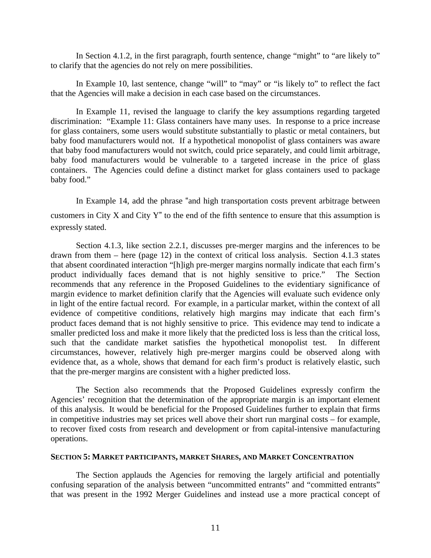In Section 4.1.2, in the first paragraph, fourth sentence, change "might" to "are likely to" to clarify that the agencies do not rely on mere possibilities.

In Example 10, last sentence, change "will" to "may" or "is likely to" to reflect the fact that the Agencies will make a decision in each case based on the circumstances.

In Example 11, revised the language to clarify the key assumptions regarding targeted discrimination: "Example 11: Glass containers have many uses. In response to a price increase for glass containers, some users would substitute substantially to plastic or metal containers, but baby food manufacturers would not. If a hypothetical monopolist of glass containers was aware that baby food manufacturers would not switch, could price separately, and could limit arbitrage, baby food manufacturers would be vulnerable to a targeted increase in the price of glass containers. The Agencies could define a distinct market for glass containers used to package baby food."

In Example 14, add the phrase "and high transportation costs prevent arbitrage between customers in City X and City Y" to the end of the fifth sentence to ensure that this assumption is expressly stated.

Section 4.1.3, like section 2.2.1, discusses pre-merger margins and the inferences to be drawn from them – here (page 12) in the context of critical loss analysis. Section 4.1.3 states that absent coordinated interaction "[h]igh pre-merger margins normally indicate that each firm's product individually faces demand that is not highly sensitive to price." The Section recommends that any reference in the Proposed Guidelines to the evidentiary significance of margin evidence to market definition clarify that the Agencies will evaluate such evidence only in light of the entire factual record. For example, in a particular market, within the context of all evidence of competitive conditions, relatively high margins may indicate that each firm's product faces demand that is not highly sensitive to price. This evidence may tend to indicate a smaller predicted loss and make it more likely that the predicted loss is less than the critical loss, such that the candidate market satisfies the hypothetical monopolist test. In different circumstances, however, relatively high pre-merger margins could be observed along with evidence that, as a whole, shows that demand for each firm's product is relatively elastic, such that the pre-merger margins are consistent with a higher predicted loss.

The Section also recommends that the Proposed Guidelines expressly confirm the Agencies' recognition that the determination of the appropriate margin is an important element of this analysis. It would be beneficial for the Proposed Guidelines further to explain that firms in competitive industries may set prices well above their short run marginal costs – for example, to recover fixed costs from research and development or from capital-intensive manufacturing operations.

### **SECTION 5: MARKET PARTICIPANTS, MARKET SHARES, AND MARKET CONCENTRATION**

The Section applauds the Agencies for removing the largely artificial and potentially confusing separation of the analysis between "uncommitted entrants" and "committed entrants" that was present in the 1992 Merger Guidelines and instead use a more practical concept of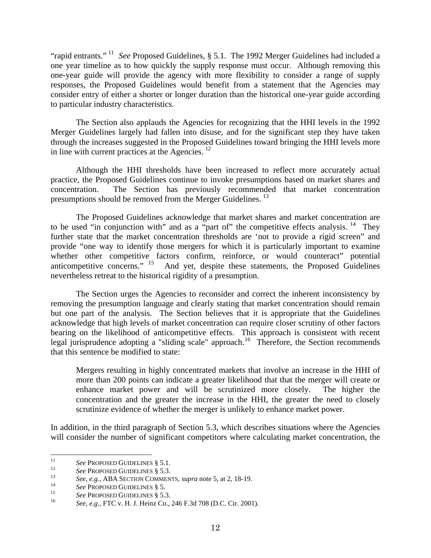"rapid entrants." [11](#page-11-0) *See* Proposed Guidelines, § 5.1. The 1992 Merger Guidelines had included a one year timeline as to how quickly the supply response must occur. Although removing this one-year guide will provide the agency with more flexibility to consider a range of supply responses, the Proposed Guidelines would benefit from a statement that the Agencies may consider entry of either a shorter or longer duration than the historical one-year guide according to particular industry characteristics.

The Section also applauds the Agencies for recognizing that the HHI levels in the 1992 Merger Guidelines largely had fallen into disuse, and for the significant step they have taken through the increases suggested in the Proposed Guidelines toward bringing the HHI levels more in line with current practices at the Agencies.  $12$ 

Although the HHI thresholds have been increased to reflect more accurately actual practice, the Proposed Guidelines continue to invoke presumptions based on market shares and concentration. The Section has previously recommended that market concentration presumptions should be removed from the Merger Guidelines.<sup>[13](#page-11-2)</sup>

The Proposed Guidelines acknowledge that market shares and market concentration are to be used "in conjunction with" and as a "part of" the competitive effects analysis.  $14$  They further state that the market concentration thresholds are 'not to provide a rigid screen" and provide "one way to identify those mergers for which it is particularly important to examine whether other competitive factors confirm, reinforce, or would counteract" potential anticompetitive concerns." <sup>15</sup> And yet, despite these statements, the Proposed Guidelines And yet, despite these statements, the Proposed Guidelines nevertheless retreat to the historical rigidity of a presumption.

The Section urges the Agencies to reconsider and correct the inherent inconsistency by removing the presumption language and clearly stating that market concentration should remain but one part of the analysis. The Section believes that it is appropriate that the Guidelines acknowledge that high levels of market concentration can require closer scrutiny of other factors bearing on the likelihood of anticompetitive effects. This approach is consistent with recent legal jurisprudence adopting a "sliding scale" approach.<sup>[16](#page-11-5)</sup> Therefore, the Section recommends that this sentence be modified to state:

Mergers resulting in highly concentrated markets that involve an increase in the HHI of more than 200 points can indicate a greater likelihood that that the merger will create or enhance market power and will be scrutinized more closely. The higher the concentration and the greater the increase in the HHI, the greater the need to closely scrutinize evidence of whether the merger is unlikely to enhance market power.

In addition, in the third paragraph of Section 5.3, which describes situations where the Agencies will consider the number of significant competitors where calculating market concentration, the

 $11$ 

<span id="page-11-2"></span><span id="page-11-1"></span>

<span id="page-11-0"></span><sup>&</sup>lt;sup>11</sup><br>
See PROPOSED GUIDELINES § 5.1.<br>
<sup>12</sup><br>
See, e.g., ABA SECTION COMMENTS, *supra* note 5, at 2, 18-19.<br>
<sup>14</sup><br>
See PROPOSED GUIDELINES § 5.<br>
See PROPOSED GUIDELINES § 5.3.<br>
<sup>15</sup><br>
See, e.g., FTC v. H. J. Heinz Co., 246 F

<span id="page-11-3"></span>

<span id="page-11-4"></span>

<span id="page-11-5"></span>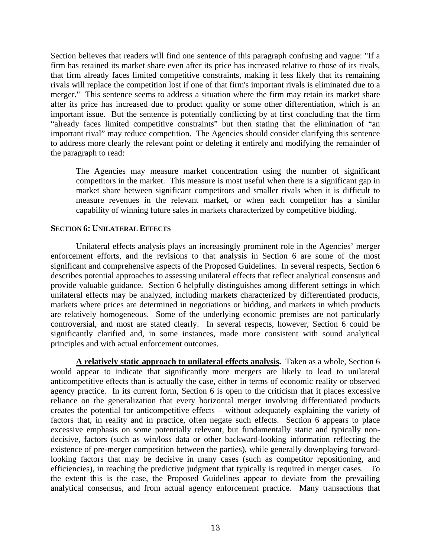Section believes that readers will find one sentence of this paragraph confusing and vague: "If a firm has retained its market share even after its price has increased relative to those of its rivals, that firm already faces limited competitive constraints, making it less likely that its remaining rivals will replace the competition lost if one of that firm's important rivals is eliminated due to a merger." This sentence seems to address a situation where the firm may retain its market share after its price has increased due to product quality or some other differentiation, which is an important issue. But the sentence is potentially conflicting by at first concluding that the firm "already faces limited competitive constraints" but then stating that the elimination of "an important rival" may reduce competition. The Agencies should consider clarifying this sentence to address more clearly the relevant point or deleting it entirely and modifying the remainder of the paragraph to read:

The Agencies may measure market concentration using the number of significant competitors in the market. This measure is most useful when there is a significant gap in market share between significant competitors and smaller rivals when it is difficult to measure revenues in the relevant market, or when each competitor has a similar capability of winning future sales in markets characterized by competitive bidding.

# **SECTION 6: UNILATERAL EFFECTS**

Unilateral effects analysis plays an increasingly prominent role in the Agencies' merger enforcement efforts, and the revisions to that analysis in Section 6 are some of the most significant and comprehensive aspects of the Proposed Guidelines. In several respects, Section 6 describes potential approaches to assessing unilateral effects that reflect analytical consensus and provide valuable guidance. Section 6 helpfully distinguishes among different settings in which unilateral effects may be analyzed, including markets characterized by differentiated products, markets where prices are determined in negotiations or bidding, and markets in which products are relatively homogeneous. Some of the underlying economic premises are not particularly controversial, and most are stated clearly. In several respects, however, Section 6 could be significantly clarified and, in some instances, made more consistent with sound analytical principles and with actual enforcement outcomes.

**A relatively static approach to unilateral effects analysis.** Taken as a whole, Section 6 would appear to indicate that significantly more mergers are likely to lead to unilateral anticompetitive effects than is actually the case, either in terms of economic reality or observed agency practice. In its current form, Section 6 is open to the criticism that it places excessive reliance on the generalization that every horizontal merger involving differentiated products creates the potential for anticompetitive effects – without adequately explaining the variety of factors that, in reality and in practice, often negate such effects. Section 6 appears to place excessive emphasis on some potentially relevant, but fundamentally static and typically nondecisive, factors (such as win/loss data or other backward-looking information reflecting the existence of pre-merger competition between the parties), while generally downplaying forwardlooking factors that may be decisive in many cases (such as competitor repositioning, and efficiencies), in reaching the predictive judgment that typically is required in merger cases. To the extent this is the case, the Proposed Guidelines appear to deviate from the prevailing analytical consensus, and from actual agency enforcement practice. Many transactions that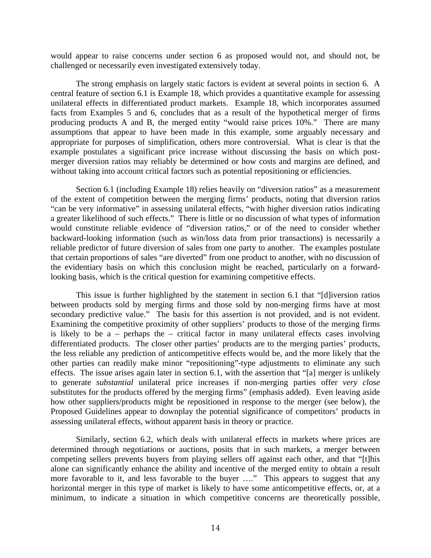would appear to raise concerns under section 6 as proposed would not, and should not, be challenged or necessarily even investigated extensively today.

The strong emphasis on largely static factors is evident at several points in section 6. A central feature of section 6.1 is Example 18, which provides a quantitative example for assessing unilateral effects in differentiated product markets. Example 18, which incorporates assumed facts from Examples 5 and 6, concludes that as a result of the hypothetical merger of firms producing products A and B, the merged entity "would raise prices 10%." There are many assumptions that appear to have been made in this example, some arguably necessary and appropriate for purposes of simplification, others more controversial. What is clear is that the example postulates a significant price increase without discussing the basis on which postmerger diversion ratios may reliably be determined or how costs and margins are defined, and without taking into account critical factors such as potential repositioning or efficiencies.

Section 6.1 (including Example 18) relies heavily on "diversion ratios" as a measurement of the extent of competition between the merging firms' products, noting that diversion ratios "can be very informative" in assessing unilateral effects, "with higher diversion ratios indicating a greater likelihood of such effects." There is little or no discussion of what types of information would constitute reliable evidence of "diversion ratios," or of the need to consider whether backward-looking information (such as win/loss data from prior transactions) is necessarily a reliable predictor of future diversion of sales from one party to another. The examples postulate that certain proportions of sales "are diverted" from one product to another, with no discussion of the evidentiary basis on which this conclusion might be reached, particularly on a forwardlooking basis, which is the critical question for examining competitive effects.

This issue is further highlighted by the statement in section 6.1 that "[d]iversion ratios between products sold by merging firms and those sold by non-merging firms have at most secondary predictive value." The basis for this assertion is not provided, and is not evident. Examining the competitive proximity of other suppliers' products to those of the merging firms is likely to be a – perhaps the – critical factor in many unilateral effects cases involving differentiated products. The closer other parties' products are to the merging parties' products, the less reliable any prediction of anticompetitive effects would be, and the more likely that the other parties can readily make minor "repositioning"-type adjustments to eliminate any such effects. The issue arises again later in section 6.1, with the assertion that "[a] merger is unlikely to generate *substantial* unilateral price increases if non-merging parties offer *very close* substitutes for the products offered by the merging firms" (emphasis added). Even leaving aside how other suppliers/products might be repositioned in response to the merger (see below), the Proposed Guidelines appear to downplay the potential significance of competitors' products in assessing unilateral effects, without apparent basis in theory or practice.

Similarly, section 6.2, which deals with unilateral effects in markets where prices are determined through negotiations or auctions, posits that in such markets, a merger between competing sellers prevents buyers from playing sellers off against each other, and that "[t]his alone can significantly enhance the ability and incentive of the merged entity to obtain a result more favorable to it, and less favorable to the buyer …." This appears to suggest that any horizontal merger in this type of market is likely to have some anticompetitive effects, or, at a minimum, to indicate a situation in which competitive concerns are theoretically possible,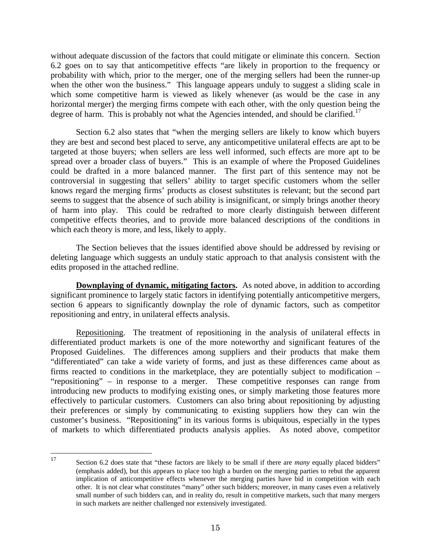without adequate discussion of the factors that could mitigate or eliminate this concern. Section 6.2 goes on to say that anticompetitive effects "are likely in proportion to the frequency or probability with which, prior to the merger, one of the merging sellers had been the runner-up when the other won the business." This language appears unduly to suggest a sliding scale in which some competitive harm is viewed as likely whenever (as would be the case in any horizontal merger) the merging firms compete with each other, with the only question being the degree of harm. This is probably not what the Agencies intended, and should be clarified.<sup>[17](#page-14-0)</sup>

Section 6.2 also states that "when the merging sellers are likely to know which buyers they are best and second best placed to serve, any anticompetitive unilateral effects are apt to be targeted at those buyers; when sellers are less well informed, such effects are more apt to be spread over a broader class of buyers." This is an example of where the Proposed Guidelines could be drafted in a more balanced manner. The first part of this sentence may not be controversial in suggesting that sellers' ability to target specific customers whom the seller knows regard the merging firms' products as closest substitutes is relevant; but the second part seems to suggest that the absence of such ability is insignificant, or simply brings another theory of harm into play. This could be redrafted to more clearly distinguish between different competitive effects theories, and to provide more balanced descriptions of the conditions in which each theory is more, and less, likely to apply.

The Section believes that the issues identified above should be addressed by revising or deleting language which suggests an unduly static approach to that analysis consistent with the edits proposed in the attached redline.

**Downplaying of dynamic, mitigating factors.** As noted above, in addition to according significant prominence to largely static factors in identifying potentially anticompetitive mergers, section 6 appears to significantly downplay the role of dynamic factors, such as competitor repositioning and entry, in unilateral effects analysis.

Repositioning. The treatment of repositioning in the analysis of unilateral effects in differentiated product markets is one of the more noteworthy and significant features of the Proposed Guidelines. The differences among suppliers and their products that make them "differentiated" can take a wide variety of forms, and just as these differences came about as firms reacted to conditions in the marketplace, they are potentially subject to modification – "repositioning" – in response to a merger. These competitive responses can range from introducing new products to modifying existing ones, or simply marketing those features more effectively to particular customers. Customers can also bring about repositioning by adjusting their preferences or simply by communicating to existing suppliers how they can win the customer's business. "Repositioning" in its various forms is ubiquitous, especially in the types of markets to which differentiated products analysis applies. As noted above, competitor

<span id="page-14-0"></span>17 Section 6.2 does state that "these factors are likely to be small if there are *many* equally placed bidders" (emphasis added), but this appears to place too high a burden on the merging parties to rebut the apparent implication of anticompetitive effects whenever the merging parties have bid in competition with each other. It is not clear what constitutes "many" other such bidders; moreover, in many cases even a relatively small number of such bidders can, and in reality do, result in competitive markets, such that many mergers in such markets are neither challenged nor extensively investigated.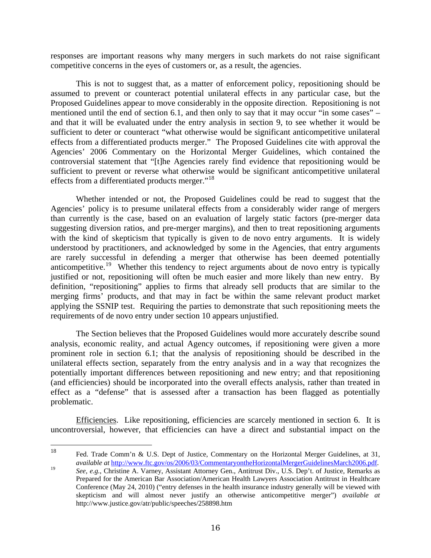responses are important reasons why many mergers in such markets do not raise significant competitive concerns in the eyes of customers or, as a result, the agencies.

This is not to suggest that, as a matter of enforcement policy, repositioning should be assumed to prevent or counteract potential unilateral effects in any particular case, but the Proposed Guidelines appear to move considerably in the opposite direction. Repositioning is not mentioned until the end of section 6.1, and then only to say that it may occur "in some cases" – and that it will be evaluated under the entry analysis in section 9, to see whether it would be sufficient to deter or counteract "what otherwise would be significant anticompetitive unilateral effects from a differentiated products merger." The Proposed Guidelines cite with approval the Agencies' 2006 Commentary on the Horizontal Merger Guidelines, which contained the controversial statement that "[t]he Agencies rarely find evidence that repositioning would be sufficient to prevent or reverse what otherwise would be significant anticompetitive unilateral effects from a differentiated products merger."[18](#page-15-0)

Whether intended or not, the Proposed Guidelines could be read to suggest that the Agencies' policy is to presume unilateral effects from a considerably wider range of mergers than currently is the case, based on an evaluation of largely static factors (pre-merger data suggesting diversion ratios, and pre-merger margins), and then to treat repositioning arguments with the kind of skepticism that typically is given to de novo entry arguments. It is widely understood by practitioners, and acknowledged by some in the Agencies, that entry arguments are rarely successful in defending a merger that otherwise has been deemed potentially anticompetitive.<sup>[19](#page-15-1)</sup> Whether this tendency to reject arguments about de novo entry is typically justified or not, repositioning will often be much easier and more likely than new entry. By definition, "repositioning" applies to firms that already sell products that are similar to the merging firms' products, and that may in fact be within the same relevant product market applying the SSNIP test. Requiring the parties to demonstrate that such repositioning meets the requirements of de novo entry under section 10 appears unjustified.

The Section believes that the Proposed Guidelines would more accurately describe sound analysis, economic reality, and actual Agency outcomes, if repositioning were given a more prominent role in section 6.1; that the analysis of repositioning should be described in the unilateral effects section, separately from the entry analysis and in a way that recognizes the potentially important differences between repositioning and new entry; and that repositioning (and efficiencies) should be incorporated into the overall effects analysis, rather than treated in effect as a "defense" that is assessed after a transaction has been flagged as potentially problematic.

Efficiencies. Like repositioning, efficiencies are scarcely mentioned in section 6. It is uncontroversial, however, that efficiencies can have a direct and substantial impact on the

<span id="page-15-0"></span><sup>18</sup> Fed. Trade Comm'n & U.S. Dept of Justice, Commentary on the Horizontal Merger Guidelines, at 31,

<span id="page-15-1"></span>*available at* [http://www.ftc.gov/os/2006/03/CommentaryontheHorizontalMergerGuidelinesMarch2006.pdf.](http://www.ftc.gov/os/2006/03/CommentaryontheHorizontalMergerGuidelinesMarch2006.pdf)<br> *See, e.g.*, Christine A. Varney, Assistant Attorney Gen., Antitrust Div., U.S. Dep't. of Justice, Remarks as Prepared for the American Bar Association/American Health Lawyers Association Antitrust in Healthcare Conference (May 24, 2010) ("entry defenses in the health insurance industry generally will be viewed with skepticism and will almost never justify an otherwise anticompetitive merger") *available at* http://www.justice.gov/atr/public/speeches/258898.htm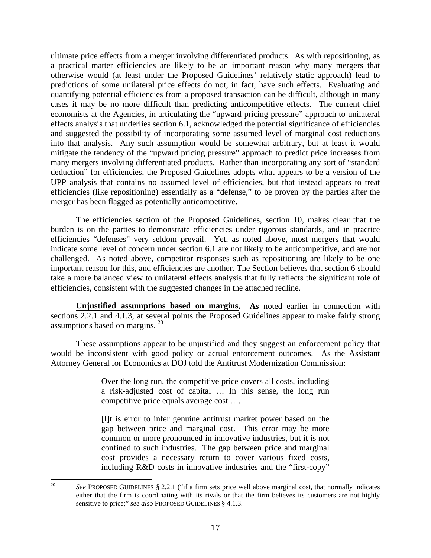ultimate price effects from a merger involving differentiated products. As with repositioning, as a practical matter efficiencies are likely to be an important reason why many mergers that otherwise would (at least under the Proposed Guidelines' relatively static approach) lead to predictions of some unilateral price effects do not, in fact, have such effects. Evaluating and quantifying potential efficiencies from a proposed transaction can be difficult, although in many cases it may be no more difficult than predicting anticompetitive effects. The current chief economists at the Agencies, in articulating the "upward pricing pressure" approach to unilateral effects analysis that underlies section 6.1, acknowledged the potential significance of efficiencies and suggested the possibility of incorporating some assumed level of marginal cost reductions into that analysis. Any such assumption would be somewhat arbitrary, but at least it would mitigate the tendency of the "upward pricing pressure" approach to predict price increases from many mergers involving differentiated products. Rather than incorporating any sort of "standard deduction" for efficiencies, the Proposed Guidelines adopts what appears to be a version of the UPP analysis that contains no assumed level of efficiencies, but that instead appears to treat efficiencies (like repositioning) essentially as a "defense," to be proven by the parties after the merger has been flagged as potentially anticompetitive.

The efficiencies section of the Proposed Guidelines, section 10, makes clear that the burden is on the parties to demonstrate efficiencies under rigorous standards, and in practice efficiencies "defenses" very seldom prevail. Yet, as noted above, most mergers that would indicate some level of concern under section 6.1 are not likely to be anticompetitive, and are not challenged. As noted above, competitor responses such as repositioning are likely to be one important reason for this, and efficiencies are another. The Section believes that section 6 should take a more balanced view to unilateral effects analysis that fully reflects the significant role of efficiencies, consistent with the suggested changes in the attached redline.

**Unjustified assumptions based on margins. As** noted earlier in connection with sections 2.2.1 and 4.1.3, at several points the Proposed Guidelines appear to make fairly strong assumptions based on margins.<sup>[20](#page-16-0)</sup>

These assumptions appear to be unjustified and they suggest an enforcement policy that would be inconsistent with good policy or actual enforcement outcomes. As the Assistant Attorney General for Economics at DOJ told the Antitrust Modernization Commission:

> Over the long run, the competitive price covers all costs, including a risk-adjusted cost of capital … In this sense, the long run competitive price equals average cost ….

> [I]t is error to infer genuine antitrust market power based on the gap between price and marginal cost. This error may be more common or more pronounced in innovative industries, but it is not confined to such industries. The gap between price and marginal cost provides a necessary return to cover various fixed costs, including R&D costs in innovative industries and the "first-copy"

<span id="page-16-0"></span> $20<sup>o</sup>$ 20 *See* PROPOSED GUIDELINES § 2.2.1 ("if a firm sets price well above marginal cost, that normally indicates either that the firm is coordinating with its rivals or that the firm believes its customers are not highly sensitive to price;" *see also* PROPOSED GUIDELINES § 4.1.3.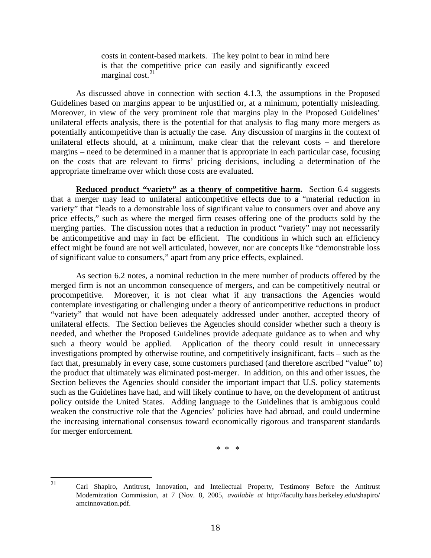costs in content-based markets. The key point to bear in mind here is that the competitive price can easily and significantly exceed marginal cost.<sup>[21](#page-17-0)</sup>

As discussed above in connection with section 4.1.3, the assumptions in the Proposed Guidelines based on margins appear to be unjustified or, at a minimum, potentially misleading. Moreover, in view of the very prominent role that margins play in the Proposed Guidelines' unilateral effects analysis, there is the potential for that analysis to flag many more mergers as potentially anticompetitive than is actually the case. Any discussion of margins in the context of unilateral effects should, at a minimum, make clear that the relevant costs – and therefore margins – need to be determined in a manner that is appropriate in each particular case, focusing on the costs that are relevant to firms' pricing decisions, including a determination of the appropriate timeframe over which those costs are evaluated.

**Reduced product "variety" as a theory of competitive harm.** Section 6.4 suggests that a merger may lead to unilateral anticompetitive effects due to a "material reduction in variety" that "leads to a demonstrable loss of significant value to consumers over and above any price effects," such as where the merged firm ceases offering one of the products sold by the merging parties. The discussion notes that a reduction in product "variety" may not necessarily be anticompetitive and may in fact be efficient. The conditions in which such an efficiency effect might be found are not well articulated, however, nor are concepts like "demonstrable loss of significant value to consumers," apart from any price effects, explained.

As section 6.2 notes, a nominal reduction in the mere number of products offered by the merged firm is not an uncommon consequence of mergers, and can be competitively neutral or procompetitive. Moreover, it is not clear what if any transactions the Agencies would contemplate investigating or challenging under a theory of anticompetitive reductions in product "variety" that would not have been adequately addressed under another, accepted theory of unilateral effects. The Section believes the Agencies should consider whether such a theory is needed, and whether the Proposed Guidelines provide adequate guidance as to when and why such a theory would be applied. Application of the theory could result in unnecessary investigations prompted by otherwise routine, and competitively insignificant, facts – such as the fact that, presumably in every case, some customers purchased (and therefore ascribed "value" to) the product that ultimately was eliminated post-merger. In addition, on this and other issues, the Section believes the Agencies should consider the important impact that U.S. policy statements such as the Guidelines have had, and will likely continue to have, on the development of antitrust policy outside the United States. Adding language to the Guidelines that is ambiguous could weaken the constructive role that the Agencies' policies have had abroad, and could undermine the increasing international consensus toward economically rigorous and transparent standards for merger enforcement.

\* \* \*

<span id="page-17-0"></span>21

<sup>21</sup> Carl Shapiro, Antitrust, Innovation, and Intellectual Property, Testimony Before the Antitrust Modernization Commission, at 7 (Nov. 8, 2005, *available at* http://faculty.haas.berkeley.edu/shapiro/ amcinnovation.pdf.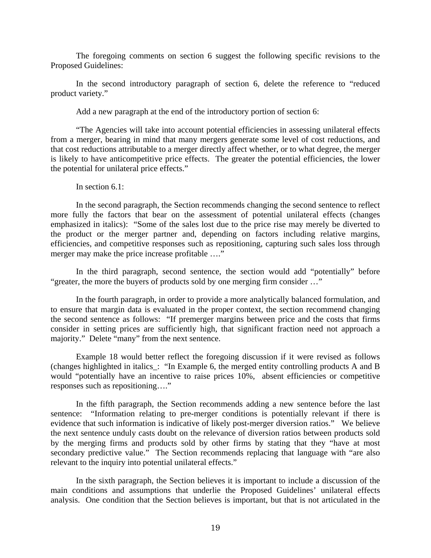The foregoing comments on section 6 suggest the following specific revisions to the Proposed Guidelines:

In the second introductory paragraph of section 6, delete the reference to "reduced product variety."

Add a new paragraph at the end of the introductory portion of section 6:

"The Agencies will take into account potential efficiencies in assessing unilateral effects from a merger, bearing in mind that many mergers generate some level of cost reductions, and that cost reductions attributable to a merger directly affect whether, or to what degree, the merger is likely to have anticompetitive price effects. The greater the potential efficiencies, the lower the potential for unilateral price effects."

# In section 6.1:

In the second paragraph, the Section recommends changing the second sentence to reflect more fully the factors that bear on the assessment of potential unilateral effects (changes emphasized in italics): "Some of the sales lost due to the price rise may merely be diverted to the product or the merger partner and, depending on factors including relative margins, efficiencies, and competitive responses such as repositioning, capturing such sales loss through merger may make the price increase profitable ...."

In the third paragraph, second sentence, the section would add "potentially" before "greater, the more the buyers of products sold by one merging firm consider …"

In the fourth paragraph, in order to provide a more analytically balanced formulation, and to ensure that margin data is evaluated in the proper context, the section recommend changing the second sentence as follows: "If premerger margins between price and the costs that firms consider in setting prices are sufficiently high, that significant fraction need not approach a majority." Delete "many" from the next sentence.

Example 18 would better reflect the foregoing discussion if it were revised as follows (changes highlighted in italics\_: "In Example 6, the merged entity controlling products A and B would "potentially have an incentive to raise prices 10%, absent efficiencies or competitive responses such as repositioning…."

In the fifth paragraph, the Section recommends adding a new sentence before the last sentence: "Information relating to pre-merger conditions is potentially relevant if there is evidence that such information is indicative of likely post-merger diversion ratios." We believe the next sentence unduly casts doubt on the relevance of diversion ratios between products sold by the merging firms and products sold by other firms by stating that they "have at most secondary predictive value." The Section recommends replacing that language with "are also relevant to the inquiry into potential unilateral effects."

In the sixth paragraph, the Section believes it is important to include a discussion of the main conditions and assumptions that underlie the Proposed Guidelines' unilateral effects analysis. One condition that the Section believes is important, but that is not articulated in the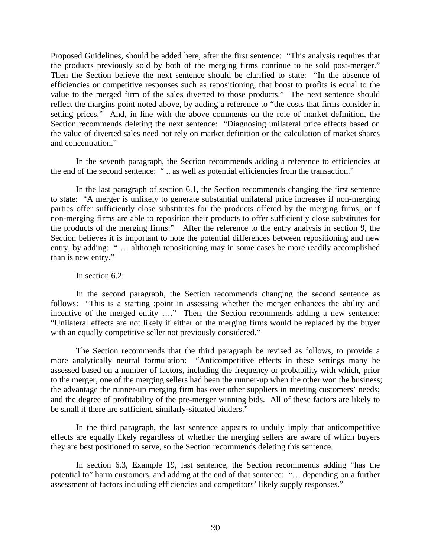Proposed Guidelines, should be added here, after the first sentence: "This analysis requires that the products previously sold by both of the merging firms continue to be sold post-merger." Then the Section believe the next sentence should be clarified to state: "In the absence of efficiencies or competitive responses such as repositioning, that boost to profits is equal to the value to the merged firm of the sales diverted to those products." The next sentence should reflect the margins point noted above, by adding a reference to "the costs that firms consider in setting prices." And, in line with the above comments on the role of market definition, the Section recommends deleting the next sentence: "Diagnosing unilateral price effects based on the value of diverted sales need not rely on market definition or the calculation of market shares and concentration."

In the seventh paragraph, the Section recommends adding a reference to efficiencies at the end of the second sentence: " .. as well as potential efficiencies from the transaction."

In the last paragraph of section 6.1, the Section recommends changing the first sentence to state: "A merger is unlikely to generate substantial unilateral price increases if non-merging parties offer sufficiently close substitutes for the products offered by the merging firms; or if non-merging firms are able to reposition their products to offer sufficiently close substitutes for the products of the merging firms." After the reference to the entry analysis in section 9, the Section believes it is important to note the potential differences between repositioning and new entry, by adding: " ... although repositioning may in some cases be more readily accomplished than is new entry."

## In section 6.2:

In the second paragraph, the Section recommends changing the second sentence as follows: "This is a starting ;point in assessing whether the merger enhances the ability and incentive of the merged entity ...." Then, the Section recommends adding a new sentence: "Unilateral effects are not likely if either of the merging firms would be replaced by the buyer with an equally competitive seller not previously considered."

The Section recommends that the third paragraph be revised as follows, to provide a more analytically neutral formulation: "Anticompetitive effects in these settings many be assessed based on a number of factors, including the frequency or probability with which, prior to the merger, one of the merging sellers had been the runner-up when the other won the business; the advantage the runner-up merging firm has over other suppliers in meeting customers' needs; and the degree of profitability of the pre-merger winning bids. All of these factors are likely to be small if there are sufficient, similarly-situated bidders."

In the third paragraph, the last sentence appears to unduly imply that anticompetitive effects are equally likely regardless of whether the merging sellers are aware of which buyers they are best positioned to serve, so the Section recommends deleting this sentence.

In section 6.3, Example 19, last sentence, the Section recommends adding "has the potential to" harm customers, and adding at the end of that sentence: "… depending on a further assessment of factors including efficiencies and competitors' likely supply responses."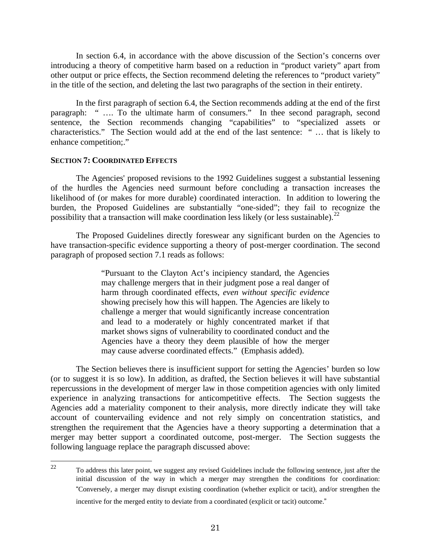In section 6.4, in accordance with the above discussion of the Section's concerns over introducing a theory of competitive harm based on a reduction in "product variety" apart from other output or price effects, the Section recommend deleting the references to "product variety" in the title of the section, and deleting the last two paragraphs of the section in their entirety.

In the first paragraph of section 6.4, the Section recommends adding at the end of the first paragraph: " …. To the ultimate harm of consumers." In thee second paragraph, second sentence, the Section recommends changing "capabilities" to "specialized assets or characteristics." The Section would add at the end of the last sentence: " … that is likely to enhance competition;."

#### **SECTION 7: COORDINATED EFFECTS**

The Agencies' proposed revisions to the 1992 Guidelines suggest a substantial lessening of the hurdles the Agencies need surmount before concluding a transaction increases the likelihood of (or makes for more durable) coordinated interaction. In addition to lowering the burden, the Proposed Guidelines are substantially "one-sided"; they fail to recognize the possibility that a transaction will make coordination less likely (or less sustainable).<sup>[22](#page-20-0)</sup>

The Proposed Guidelines directly foreswear any significant burden on the Agencies to have transaction-specific evidence supporting a theory of post-merger coordination. The second paragraph of proposed section 7.1 reads as follows:

> "Pursuant to the Clayton Act's incipiency standard, the Agencies may challenge mergers that in their judgment pose a real danger of harm through coordinated effects, *even without specific evidence* showing precisely how this will happen. The Agencies are likely to challenge a merger that would significantly increase concentration and lead to a moderately or highly concentrated market if that market shows signs of vulnerability to coordinated conduct and the Agencies have a theory they deem plausible of how the merger may cause adverse coordinated effects." (Emphasis added).

The Section believes there is insufficient support for setting the Agencies' burden so low (or to suggest it is so low). In addition, as drafted, the Section believes it will have substantial repercussions in the development of merger law in those competition agencies with only limited experience in analyzing transactions for anticompetitive effects. The Section suggests the Agencies add a materiality component to their analysis, more directly indicate they will take account of countervailing evidence and not rely simply on concentration statistics, and strengthen the requirement that the Agencies have a theory supporting a determination that a merger may better support a coordinated outcome, post-merger. The Section suggests the following language replace the paragraph discussed above:

<span id="page-20-0"></span><sup>22</sup> 22 To address this later point, we suggest any revised Guidelines include the following sentence, just after the initial discussion of the way in which a merger may strengthen the conditions for coordination: "Conversely, a merger may disrupt existing coordination (whether explicit or tacit), and/or strengthen the incentive for the merged entity to deviate from a coordinated (explicit or tacit) outcome."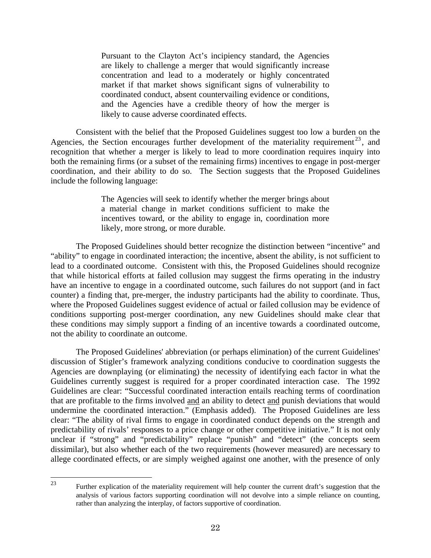Pursuant to the Clayton Act's incipiency standard, the Agencies are likely to challenge a merger that would significantly increase concentration and lead to a moderately or highly concentrated market if that market shows significant signs of vulnerability to coordinated conduct, absent countervailing evidence or conditions, and the Agencies have a credible theory of how the merger is likely to cause adverse coordinated effects.

Consistent with the belief that the Proposed Guidelines suggest too low a burden on the Agencies, the Section encourages further development of the materiality requirement  $2^3$ , and recognition that whether a merger is likely to lead to more coordination requires inquiry into both the remaining firms (or a subset of the remaining firms) incentives to engage in post-merger coordination, and their ability to do so. The Section suggests that the Proposed Guidelines include the following language:

> The Agencies will seek to identify whether the merger brings about a material change in market conditions sufficient to make the incentives toward, or the ability to engage in, coordination more likely, more strong, or more durable.

The Proposed Guidelines should better recognize the distinction between "incentive" and "ability" to engage in coordinated interaction; the incentive, absent the ability, is not sufficient to lead to a coordinated outcome. Consistent with this, the Proposed Guidelines should recognize that while historical efforts at failed collusion may suggest the firms operating in the industry have an incentive to engage in a coordinated outcome, such failures do not support (and in fact counter) a finding that, pre-merger, the industry participants had the ability to coordinate. Thus, where the Proposed Guidelines suggest evidence of actual or failed collusion may be evidence of conditions supporting post-merger coordination, any new Guidelines should make clear that these conditions may simply support a finding of an incentive towards a coordinated outcome, not the ability to coordinate an outcome.

The Proposed Guidelines' abbreviation (or perhaps elimination) of the current Guidelines' discussion of Stigler's framework analyzing conditions conducive to coordination suggests the Agencies are downplaying (or eliminating) the necessity of identifying each factor in what the Guidelines currently suggest is required for a proper coordinated interaction case. The 1992 Guidelines are clear: "Successful coordinated interaction entails reaching terms of coordination that are profitable to the firms involved and an ability to detect and punish deviations that would undermine the coordinated interaction." (Emphasis added). The Proposed Guidelines are less clear: "The ability of rival firms to engage in coordinated conduct depends on the strength and predictability of rivals' responses to a price change or other competitive initiative." It is not only unclear if "strong" and "predictability" replace "punish" and "detect" (the concepts seem dissimilar), but also whether each of the two requirements (however measured) are necessary to allege coordinated effects, or are simply weighed against one another, with the presence of only

<span id="page-21-0"></span> $23$ 

Further explication of the materiality requirement will help counter the current draft's suggestion that the analysis of various factors supporting coordination will not devolve into a simple reliance on counting, rather than analyzing the interplay, of factors supportive of coordination.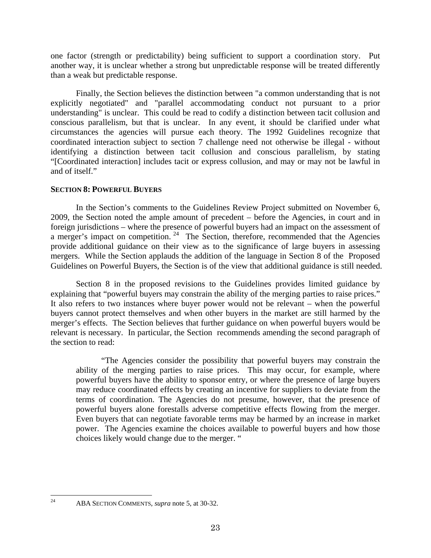one factor (strength or predictability) being sufficient to support a coordination story. Put another way, it is unclear whether a strong but unpredictable response will be treated differently than a weak but predictable response.

Finally, the Section believes the distinction between "a common understanding that is not explicitly negotiated" and "parallel accommodating conduct not pursuant to a prior understanding" is unclear. This could be read to codify a distinction between tacit collusion and conscious parallelism, but that is unclear. In any event, it should be clarified under what circumstances the agencies will pursue each theory. The 1992 Guidelines recognize that coordinated interaction subject to section 7 challenge need not otherwise be illegal - without identifying a distinction between tacit collusion and conscious parallelism, by stating "[Coordinated interaction] includes tacit or express collusion, and may or may not be lawful in and of itself."

# **SECTION 8: POWERFUL BUYERS**

In the Section's comments to the Guidelines Review Project submitted on November 6, 2009, the Section noted the ample amount of precedent – before the Agencies, in court and in foreign jurisdictions – where the presence of powerful buyers had an impact on the assessment of a merger's impact on competition. <sup>[24](#page-22-0)</sup> The Section, therefore, recommended that the Agencies provide additional guidance on their view as to the significance of large buyers in assessing mergers. While the Section applauds the addition of the language in Section 8 of the Proposed Guidelines on Powerful Buyers, the Section is of the view that additional guidance is still needed.

Section 8 in the proposed revisions to the Guidelines provides limited guidance by explaining that "powerful buyers may constrain the ability of the merging parties to raise prices." It also refers to two instances where buyer power would not be relevant – when the powerful buyers cannot protect themselves and when other buyers in the market are still harmed by the merger's effects. The Section believes that further guidance on when powerful buyers would be relevant is necessary. In particular, the Section recommends amending the second paragraph of the section to read:

"The Agencies consider the possibility that powerful buyers may constrain the ability of the merging parties to raise prices. This may occur, for example, where powerful buyers have the ability to sponsor entry, or where the presence of large buyers may reduce coordinated effects by creating an incentive for suppliers to deviate from the terms of coordination. The Agencies do not presume, however, that the presence of powerful buyers alone forestalls adverse competitive effects flowing from the merger. Even buyers that can negotiate favorable terms may be harmed by an increase in market power. The Agencies examine the choices available to powerful buyers and how those choices likely would change due to the merger. "

<span id="page-22-0"></span> $24$ 

<sup>24</sup> ABA SECTION COMMENTS, *supra* note 5, at 30-32.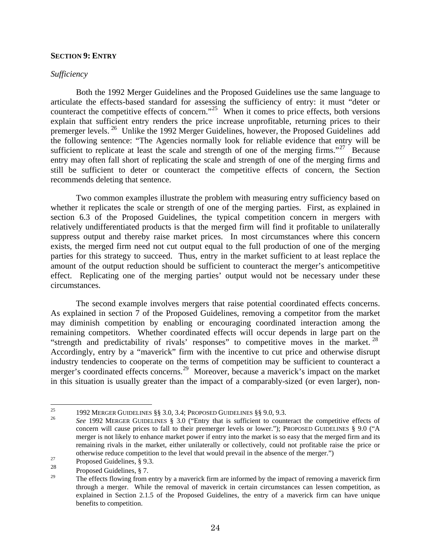### **SECTION 9: ENTRY**

## *Sufficiency*

Both the 1992 Merger Guidelines and the Proposed Guidelines use the same language to articulate the effects-based standard for assessing the sufficiency of entry: it must "deter or counteract the competitive effects of concern."<sup>[25](#page-23-0)</sup> When it comes to price effects, both versions explain that sufficient entry renders the price increase unprofitable, returning prices to their premerger levels. [26](#page-23-1) Unlike the 1992 Merger Guidelines, however, the Proposed Guidelines add the following sentence: "The Agencies normally look for reliable evidence that entry will be sufficient to replicate at least the scale and strength of one of the merging firms."<sup>[27](#page-23-2)</sup> Because entry may often fall short of replicating the scale and strength of one of the merging firms and still be sufficient to deter or counteract the competitive effects of concern, the Section recommends deleting that sentence.

Two common examples illustrate the problem with measuring entry sufficiency based on whether it replicates the scale or strength of one of the merging parties. First, as explained in section 6.3 of the Proposed Guidelines, the typical competition concern in mergers with relatively undifferentiated products is that the merged firm will find it profitable to unilaterally suppress output and thereby raise market prices. In most circumstances where this concern exists, the merged firm need not cut output equal to the full production of one of the merging parties for this strategy to succeed. Thus, entry in the market sufficient to at least replace the amount of the output reduction should be sufficient to counteract the merger's anticompetitive effect. Replicating one of the merging parties' output would not be necessary under these circumstances.

The second example involves mergers that raise potential coordinated effects concerns. As explained in section 7 of the Proposed Guidelines, removing a competitor from the market may diminish competition by enabling or encouraging coordinated interaction among the remaining competitors. Whether coordinated effects will occur depends in large part on the "strength and predictability of rivals' responses" to competitive moves in the market.<sup>[28](#page-23-3)</sup> Accordingly, entry by a "maverick" firm with the incentive to cut price and otherwise disrupt industry tendencies to cooperate on the terms of competition may be sufficient to counteract a merger's coordinated effects concerns.<sup>[29](#page-23-4)</sup> Moreover, because a maverick's impact on the market in this situation is usually greater than the impact of a comparably-sized (or even larger), non-

 $25$ 

<span id="page-23-1"></span><span id="page-23-0"></span><sup>&</sup>lt;sup>25</sup> 1992 MERGER GUIDELINES §§ 3.0, 3.4; PROPOSED GUIDELINES §§ 9.0, 9.3.<br><sup>26</sup> See 1992 MERGER GUIDELINES § 3.0 ("Entry that is sufficient to counteract the competitive effects of concern will cause prices to fall to their premerger levels or lower."); PROPOSED GUIDELINES § 9.0 ("A merger is not likely to enhance market power if entry into the market is so easy that the merged firm and its remaining rivals in the market, either unilaterally or collectively, could not profitable raise the price or % otherwise reduce competition to the level that would prevail in the absence of the merger.") Proposed Guidelines,  $\S$  9.3.<br>28

<span id="page-23-2"></span>

<span id="page-23-4"></span><span id="page-23-3"></span><sup>&</sup>lt;sup>28</sup> Proposed Guidelines,  $\S 7$ .<br><sup>29</sup> The effects flowing from a

The effects flowing from entry by a maverick firm are informed by the impact of removing a maverick firm through a merger. While the removal of maverick in certain circumstances can lessen competition, as explained in Section 2.1.5 of the Proposed Guidelines, the entry of a maverick firm can have unique benefits to competition.